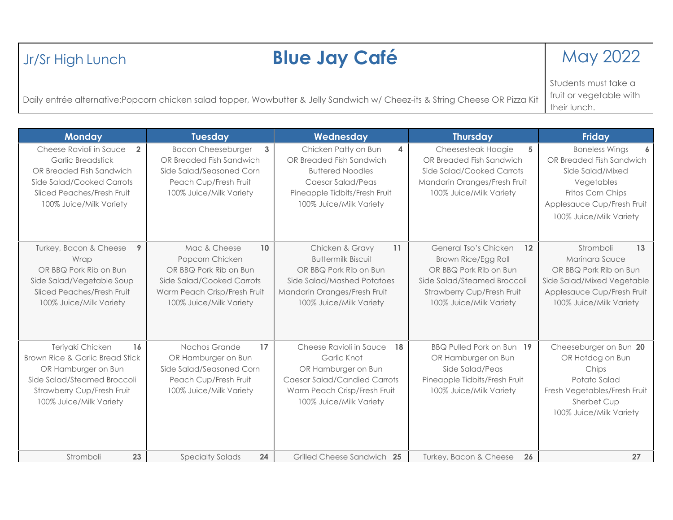| Jr/Sr High Lunch                                                                                                            | <b>Blue Jay Café</b>    | May 2022             |
|-----------------------------------------------------------------------------------------------------------------------------|-------------------------|----------------------|
|                                                                                                                             |                         | Students must take a |
| Daily entrée alternative:Popcorn chicken salad topper, Wowbutter & Jelly Sandwich w/ Cheez-its & String Cheese OR Pizza Kit | fruit or vegetable with |                      |
|                                                                                                                             | their lunch.            |                      |

| <b>Monday</b>                                                                                                                                                                           | <b>Tuesday</b>                                                                                                                                                       | Wednesday                                                                                                                                                             | <b>Thursday</b>                                                                                                                                                      | <b>Friday</b>                                                                                                                                                                       |
|-----------------------------------------------------------------------------------------------------------------------------------------------------------------------------------------|----------------------------------------------------------------------------------------------------------------------------------------------------------------------|-----------------------------------------------------------------------------------------------------------------------------------------------------------------------|----------------------------------------------------------------------------------------------------------------------------------------------------------------------|-------------------------------------------------------------------------------------------------------------------------------------------------------------------------------------|
| Cheese Ravioli in Sauce<br>$\overline{2}$<br><b>Garlic Breadstick</b><br>OR Breaded Fish Sandwich<br>Side Salad/Cooked Carrots<br>Sliced Peaches/Fresh Fruit<br>100% Juice/Milk Variety | 3<br><b>Bacon Cheeseburger</b><br>OR Breaded Fish Sandwich<br>Side Salad/Seasoned Corn<br>Peach Cup/Fresh Fruit<br>100% Juice/Milk Variety                           | Chicken Patty on Bun<br>4<br>OR Breaded Fish Sandwich<br><b>Buttered Noodles</b><br>Caesar Salad/Peas<br>Pineapple Tidbits/Fresh Fruit<br>100% Juice/Milk Variety     | Cheesesteak Hoagie<br>5<br>OR Breaded Fish Sandwich<br>Side Salad/Cooked Carrots<br>Mandarin Oranges/Fresh Fruit<br>100% Juice/Milk Variety                          | <b>Boneless Wings</b><br>$\overline{6}$<br>OR Breaded Fish Sandwich<br>Side Salad/Mixed<br>Vegetables<br>Fritos Corn Chips<br>Applesauce Cup/Fresh Fruit<br>100% Juice/Milk Variety |
| Turkey, Bacon & Cheese<br>9<br>Wrap<br>OR BBQ Pork Rib on Bun<br>Side Salad/Vegetable Soup<br>Sliced Peaches/Fresh Fruit<br>100% Juice/Milk Variety                                     | Mac & Cheese<br>10 <sup>1</sup><br>Popcorn Chicken<br>OR BBQ Pork Rib on Bun<br>Side Salad/Cooked Carrots<br>Warm Peach Crisp/Fresh Fruit<br>100% Juice/Milk Variety | 11<br>Chicken & Gravy<br><b>Buttermilk Biscuit</b><br>OR BBQ Pork Rib on Bun<br>Side Salad/Mashed Potatoes<br>Mandarin Oranges/Fresh Fruit<br>100% Juice/Milk Variety | General Tso's Chicken<br>12<br>Brown Rice/Egg Roll<br>OR BBQ Pork Rib on Bun<br>Side Salad/Steamed Broccoli<br>Strawberry Cup/Fresh Fruit<br>100% Juice/Milk Variety | Stromboli<br>13<br>Marinara Sauce<br>OR BBQ Pork Rib on Bun<br>Side Salad/Mixed Vegetable<br>Applesauce Cup/Fresh Fruit<br>100% Juice/Milk Variety                                  |
| Teriyaki Chicken<br>16<br>Brown Rice & Garlic Bread Stick<br>OR Hamburger on Bun<br>Side Salad/Steamed Broccoli<br>Strawberry Cup/Fresh Fruit<br>100% Juice/Milk Variety                | Nachos Grande<br>17<br>OR Hamburger on Bun<br>Side Salad/Seasoned Corn<br>Peach Cup/Fresh Fruit<br>100% Juice/Milk Variety                                           | Cheese Ravioli in Sauce<br>18<br>Garlic Knot<br>OR Hamburger on Bun<br><b>Caesar Salad/Candied Carrots</b><br>Warm Peach Crisp/Fresh Fruit<br>100% Juice/Milk Variety | BBQ Pulled Pork on Bun 19<br>OR Hamburger on Bun<br>Side Salad/Peas<br>Pineapple Tidbits/Fresh Fruit<br>100% Juice/Milk Variety                                      | Cheeseburger on Bun 20<br>OR Hotdog on Bun<br>Chips<br>Potato Salad<br>Fresh Vegetables/Fresh Fruit<br>Sherbet Cup<br>100% Juice/Milk Variety                                       |
| Stromboli<br>23                                                                                                                                                                         | <b>Specialty Salads</b><br>24                                                                                                                                        | Grilled Cheese Sandwich 25                                                                                                                                            | Turkey, Bacon & Cheese<br>26                                                                                                                                         | 27                                                                                                                                                                                  |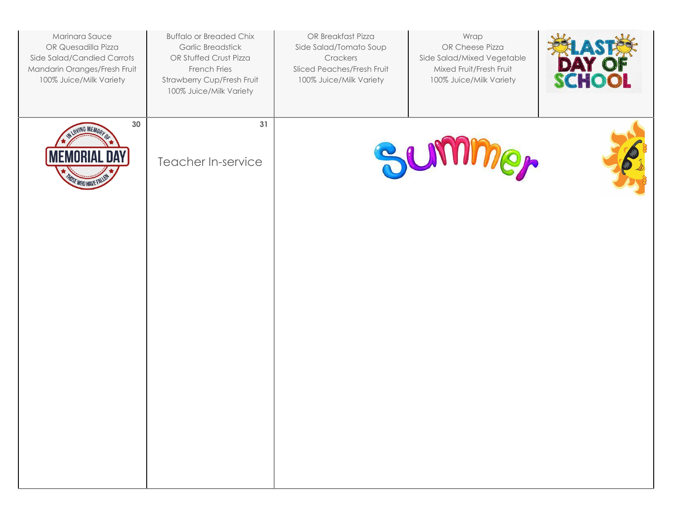